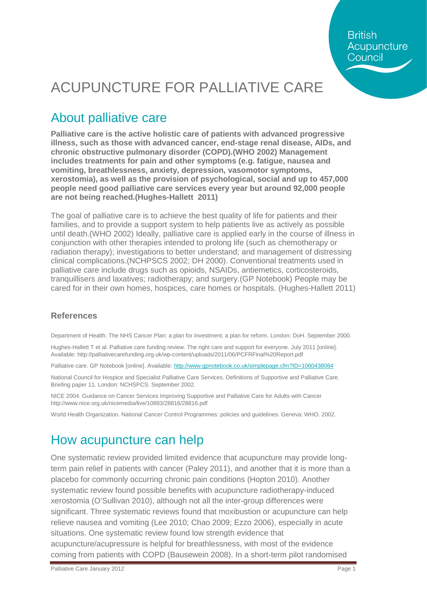**British** Acupuncture Council

## ACUPUNCTURE FOR PALLIATIVE CARE

### About palliative care

**Palliative care is the active holistic care of patients with advanced progressive illness, such as those with advanced cancer, end-stage renal disease, AIDs, and chronic obstructive pulmonary disorder (COPD).(WHO 2002) Management includes treatments for pain and other symptoms (e.g. fatigue, nausea and vomiting, breathlessness, anxiety, depression, vasomotor symptoms, xerostomia), as well as the provision of psychological, social and up to 457,000 people need good palliative care services every year but around 92,000 people are not being reached.(Hughes-Hallett 2011)**

The goal of palliative care is to achieve the best quality of life for patients and their families, and to provide a support system to help patients live as actively as possible until death.(WHO 2002) Ideally, palliative care is applied early in the course of illness in conjunction with other therapies intended to prolong life (such as chemotherapy or radiation therapy); investigations to better understand; and management of distressing clinical complications.(NCHPSCS 2002; DH 2000). Conventional treatments used in palliative care include drugs such as opioids, NSAIDs, antiemetics, corticosteroids, tranquillisers and laxatives; radiotherapy; and surgery.(GP Notebook) People may be cared for in their own homes, hospices, care homes or hospitals. (Hughes-Hallett 2011)

#### **References**

Department of Health. The NHS Cancer Plan: a plan for investment, a plan for reform. London: DoH. September 2000.

Hughes-Hallett T et al. Palliative care funding review. The right care and support for everyone. July 2011 [online]. Available: http://palliativecarefunding.org.uk/wp-content/uploads/2011/06/PCFRFinal%20Report.pdf

Palliative care. GP Notebook [online]. Available[: http://www.gpnotebook.co.uk/simplepage.cfm?ID=1060438084](http://www.gpnotebook.co.uk/simplepage.cfm?ID=1060438084)

National Council for Hospice and Specialist Palliative Care Services. Definitions of Supportive and Palliative Care. Briefing paper 11. London: NCHSPCS. September 2002.

NICE 2004. Guidance on Cancer Services Improving Supportive and Palliative Care for Adults with Cancer http://www.nice.org.uk/nicemedia/live/10893/28816/28816.pdf

World Health Organization. National Cancer Control Programmes: policies and guidelines. Geneva: WHO. 2002.

### How acupuncture can help

One systematic review provided limited evidence that acupuncture may provide longterm pain relief in patients with cancer (Paley 2011), and another that it is more than a placebo for commonly occurring chronic pain conditions (Hopton 2010). Another systematic review found possible benefits with acupuncture radiotherapy-induced xerostomia (O'Sullivan 2010), although not all the inter-group differences were significant. Three systematic reviews found that moxibustion or acupuncture can help relieve nausea and vomiting (Lee 2010; Chao 2009; Ezzo 2006), especially in acute situations. One systematic review found low strength evidence that acupuncture/acupressure is helpful for breathlessness, with most of the evidence coming from patients with COPD (Bausewein 2008). In a short-term pilot randomised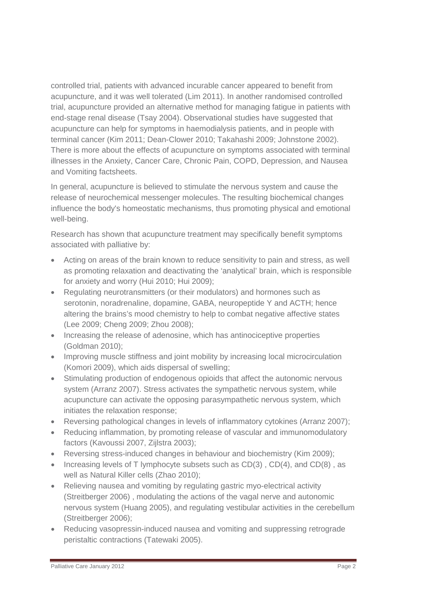controlled trial, patients with advanced incurable cancer appeared to benefit from acupuncture, and it was well tolerated (Lim 2011). In another randomised controlled trial, acupuncture provided an alternative method for managing fatigue in patients with end-stage renal disease (Tsay 2004). Observational studies have suggested that acupuncture can help for symptoms in haemodialysis patients, and in people with terminal cancer (Kim 2011; Dean-Clower 2010; Takahashi 2009; Johnstone 2002). There is more about the effects of acupuncture on symptoms associated with terminal illnesses in the Anxiety, Cancer Care, Chronic Pain, COPD, Depression, and Nausea and Vomiting factsheets.

In general, acupuncture is believed to stimulate the nervous system and cause the release of neurochemical messenger molecules. The resulting biochemical changes influence the body's homeostatic mechanisms, thus promoting physical and emotional well-being.

Research has shown that acupuncture treatment may specifically benefit symptoms associated with palliative by:

- Acting on areas of the brain known to reduce sensitivity to pain and stress, as well as promoting relaxation and deactivating the 'analytical' brain, which is responsible for anxiety and worry (Hui 2010; Hui 2009);
- Regulating neurotransmitters (or their modulators) and hormones such as serotonin, noradrenaline, dopamine, GABA, neuropeptide Y and ACTH; hence altering the brains's mood chemistry to help to combat negative affective states (Lee 2009; Cheng 2009; Zhou 2008);
- Increasing the release of adenosine, which has antinociceptive properties (Goldman 2010);
- Improving muscle stiffness and joint mobility by increasing local microcirculation (Komori 2009), which aids dispersal of swelling;
- Stimulating production of endogenous opioids that affect the autonomic nervous system (Arranz 2007). Stress activates the sympathetic nervous system, while acupuncture can activate the opposing parasympathetic nervous system, which initiates the relaxation response;
- Reversing pathological changes in levels of inflammatory cytokines (Arranz 2007);
- Reducing inflammation, by promoting release of vascular and immunomodulatory factors (Kavoussi 2007, Zijlstra 2003);
- Reversing stress-induced changes in behaviour and biochemistry (Kim 2009);
- Increasing levels of T lymphocyte subsets such as CD(3), CD(4), and CD(8), as well as Natural Killer cells (Zhao 2010);
- Relieving nausea and vomiting by regulating gastric myo-electrical activity (Streitberger 2006) , modulating the actions of the vagal nerve and autonomic nervous system (Huang 2005), and regulating vestibular activities in the cerebellum (Streitberger 2006);
- Reducing vasopressin-induced nausea and vomiting and suppressing retrograde peristaltic contractions (Tatewaki 2005).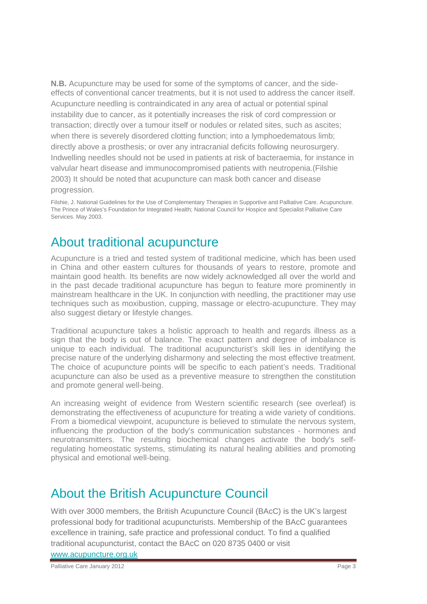**N.B.** Acupuncture may be used for some of the symptoms of cancer, and the sideeffects of conventional cancer treatments, but it is not used to address the cancer itself. Acupuncture needling is contraindicated in any area of actual or potential spinal instability due to cancer, as it potentially increases the risk of cord compression or transaction; directly over a tumour itself or nodules or related sites, such as ascites; when there is severely disordered clotting function; into a lymphoedematous limb; directly above a prosthesis; or over any intracranial deficits following neurosurgery. Indwelling needles should not be used in patients at risk of bacteraemia, for instance in valvular heart disease and immunocompromised patients with neutropenia.(Filshie 2003) It should be noted that acupuncture can mask both cancer and disease progression.

Filshie, J. National Guidelines for the Use of Complementary Therapies in Supportive and Palliative Care. Acupuncture. The Prince of Wales's Foundation for Integrated Health; National Council for Hospice and Specialist Palliative Care Services. May 2003.

#### About traditional acupuncture

Acupuncture is a tried and tested system of traditional medicine, which has been used in China and other eastern cultures for thousands of years to restore, promote and maintain good health. Its benefits are now widely acknowledged all over the world and in the past decade traditional acupuncture has begun to feature more prominently in mainstream healthcare in the UK. In conjunction with needling, the practitioner may use techniques such as moxibustion, cupping, massage or electro-acupuncture. They may also suggest dietary or lifestyle changes.

Traditional acupuncture takes a holistic approach to health and regards illness as a sign that the body is out of balance. The exact pattern and degree of imbalance is unique to each individual. The traditional acupuncturist's skill lies in identifying the precise nature of the underlying disharmony and selecting the most effective treatment. The choice of acupuncture points will be specific to each patient's needs. Traditional acupuncture can also be used as a preventive measure to strengthen the constitution and promote general well-being.

An increasing weight of evidence from Western scientific research (see overleaf) is demonstrating the effectiveness of acupuncture for treating a wide variety of conditions. From a biomedical viewpoint, acupuncture is believed to stimulate the nervous system, influencing the production of the body's communication substances - hormones and neurotransmitters. The resulting biochemical changes activate the body's selfregulating homeostatic systems, stimulating its natural healing abilities and promoting physical and emotional well-being.

### About the British Acupuncture Council

With over 3000 members, the British Acupuncture Council (BAcC) is the UK's largest professional body for traditional acupuncturists. Membership of the BAcC guarantees excellence in training, safe practice and professional conduct. To find a qualified traditional acupuncturist, contact the BAcC on 020 8735 0400 or visit

[www.acupuncture.org.uk](http://www.acupuncture.org.uk/)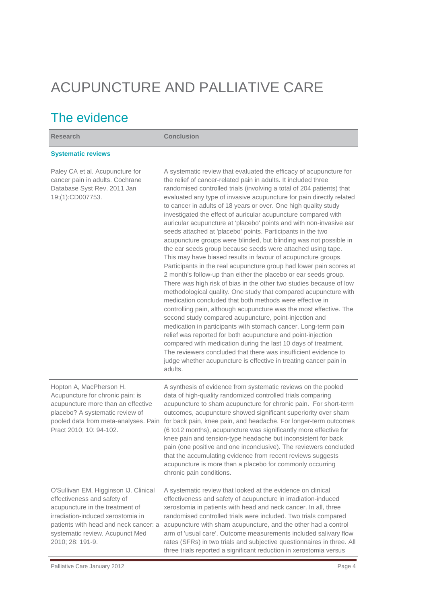# ACUPUNCTURE AND PALLIATIVE CARE

## The evidence

| <b>Research</b>                                                                                                                                                                                                                              | <b>Conclusion</b>                                                                                                                                                                                                                                                                                                                                                                                                                                                                                                                                                                                                                                                                                                                                                                                                                                                                                                                                                                                                                                                                                                                                                                                                                                                                                                                                                                                                                                                                                                                                                                                             |
|----------------------------------------------------------------------------------------------------------------------------------------------------------------------------------------------------------------------------------------------|---------------------------------------------------------------------------------------------------------------------------------------------------------------------------------------------------------------------------------------------------------------------------------------------------------------------------------------------------------------------------------------------------------------------------------------------------------------------------------------------------------------------------------------------------------------------------------------------------------------------------------------------------------------------------------------------------------------------------------------------------------------------------------------------------------------------------------------------------------------------------------------------------------------------------------------------------------------------------------------------------------------------------------------------------------------------------------------------------------------------------------------------------------------------------------------------------------------------------------------------------------------------------------------------------------------------------------------------------------------------------------------------------------------------------------------------------------------------------------------------------------------------------------------------------------------------------------------------------------------|
| <b>Systematic reviews</b>                                                                                                                                                                                                                    |                                                                                                                                                                                                                                                                                                                                                                                                                                                                                                                                                                                                                                                                                                                                                                                                                                                                                                                                                                                                                                                                                                                                                                                                                                                                                                                                                                                                                                                                                                                                                                                                               |
| Paley CA et al. Acupuncture for<br>cancer pain in adults. Cochrane<br>Database Syst Rev. 2011 Jan<br>19;(1):CD007753.                                                                                                                        | A systematic review that evaluated the efficacy of acupuncture for<br>the relief of cancer-related pain in adults. It included three<br>randomised controlled trials (involving a total of 204 patients) that<br>evaluated any type of invasive acupuncture for pain directly related<br>to cancer in adults of 18 years or over. One high quality study<br>investigated the effect of auricular acupuncture compared with<br>auricular acupuncture at 'placebo' points and with non-invasive ear<br>seeds attached at 'placebo' points. Participants in the two<br>acupuncture groups were blinded, but blinding was not possible in<br>the ear seeds group because seeds were attached using tape.<br>This may have biased results in favour of acupuncture groups.<br>Participants in the real acupuncture group had lower pain scores at<br>2 month's follow-up than either the placebo or ear seeds group.<br>There was high risk of bias in the other two studies because of low<br>methodological quality. One study that compared acupuncture with<br>medication concluded that both methods were effective in<br>controlling pain, although acupuncture was the most effective. The<br>second study compared acupuncture, point-injection and<br>medication in participants with stomach cancer. Long-term pain<br>relief was reported for both acupuncture and point-injection<br>compared with medication during the last 10 days of treatment.<br>The reviewers concluded that there was insufficient evidence to<br>judge whether acupuncture is effective in treating cancer pain in<br>adults. |
| Hopton A, MacPherson H.<br>Acupuncture for chronic pain: is<br>acupuncture more than an effective<br>placebo? A systematic review of<br>pooled data from meta-analyses. Pain<br>Pract 2010; 10: 94-102.                                      | A synthesis of evidence from systematic reviews on the pooled<br>data of high-quality randomized controlled trials comparing<br>acupuncture to sham acupuncture for chronic pain. For short-term<br>outcomes, acupuncture showed significant superiority over sham<br>for back pain, knee pain, and headache. For longer-term outcomes<br>(6 to12 months), acupuncture was significantly more effective for<br>knee pain and tension-type headache but inconsistent for back<br>pain (one positive and one inconclusive). The reviewers concluded<br>that the accumulating evidence from recent reviews suggests<br>acupuncture is more than a placebo for commonly occurring<br>chronic pain conditions.                                                                                                                                                                                                                                                                                                                                                                                                                                                                                                                                                                                                                                                                                                                                                                                                                                                                                                     |
| O'Sullivan EM, Higginson IJ. Clinical<br>effectiveness and safety of<br>acupuncture in the treatment of<br>irradiation-induced xerostomia in<br>patients with head and neck cancer: a<br>systematic review. Acupunct Med<br>2010; 28: 191-9. | A systematic review that looked at the evidence on clinical<br>effectiveness and safety of acupuncture in irradiation-induced<br>xerostomia in patients with head and neck cancer. In all, three<br>randomised controlled trials were included. Two trials compared<br>acupuncture with sham acupuncture, and the other had a control<br>arm of 'usual care'. Outcome measurements included salivary flow<br>rates (SFRs) in two trials and subjective questionnaires in three. All<br>three trials reported a significant reduction in xerostomia versus                                                                                                                                                                                                                                                                                                                                                                                                                                                                                                                                                                                                                                                                                                                                                                                                                                                                                                                                                                                                                                                     |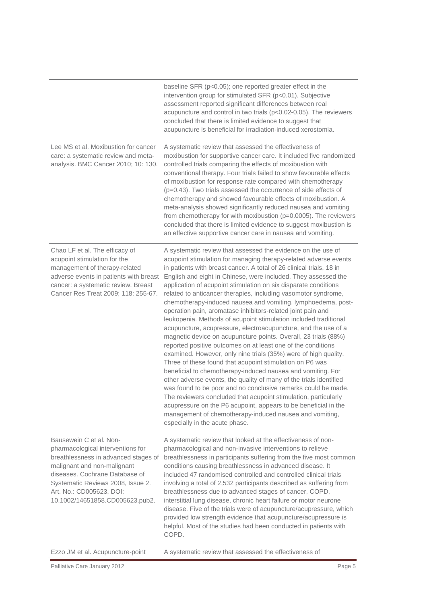|                                                                                                                                                                                                                                                                           | baseline $SFR$ ( $p<0.05$ ); one reported greater effect in the<br>intervention group for stimulated SFR (p<0.01). Subjective<br>assessment reported significant differences between real<br>acupuncture and control in two trials (p<0.02-0.05). The reviewers<br>concluded that there is limited evidence to suggest that<br>acupuncture is beneficial for irradiation-induced xerostomia.                                                                                                                                                                                                                                                                                                                                                                                                                                                                                                                                                                                                                                                                                                                                                                                                                                                                                                                                                                                                    |
|---------------------------------------------------------------------------------------------------------------------------------------------------------------------------------------------------------------------------------------------------------------------------|-------------------------------------------------------------------------------------------------------------------------------------------------------------------------------------------------------------------------------------------------------------------------------------------------------------------------------------------------------------------------------------------------------------------------------------------------------------------------------------------------------------------------------------------------------------------------------------------------------------------------------------------------------------------------------------------------------------------------------------------------------------------------------------------------------------------------------------------------------------------------------------------------------------------------------------------------------------------------------------------------------------------------------------------------------------------------------------------------------------------------------------------------------------------------------------------------------------------------------------------------------------------------------------------------------------------------------------------------------------------------------------------------|
| Lee MS et al. Moxibustion for cancer<br>care: a systematic review and meta-<br>analysis. BMC Cancer 2010; 10: 130.                                                                                                                                                        | A systematic review that assessed the effectiveness of<br>moxibustion for supportive cancer care. It included five randomized<br>controlled trials comparing the effects of moxibustion with<br>conventional therapy. Four trials failed to show favourable effects<br>of moxibustion for response rate compared with chemotherapy<br>(p=0.43). Two trials assessed the occurrence of side effects of<br>chemotherapy and showed favourable effects of moxibustion. A<br>meta-analysis showed significantly reduced nausea and vomiting<br>from chemotherapy for with moxibustion (p=0.0005). The reviewers<br>concluded that there is limited evidence to suggest moxibustion is<br>an effective supportive cancer care in nausea and vomiting.                                                                                                                                                                                                                                                                                                                                                                                                                                                                                                                                                                                                                                                |
| Chao LF et al. The efficacy of<br>acupoint stimulation for the<br>management of therapy-related<br>adverse events in patients with breast<br>cancer: a systematic review. Breast<br>Cancer Res Treat 2009; 118: 255-67.                                                   | A systematic review that assessed the evidence on the use of<br>acupoint stimulation for managing therapy-related adverse events<br>in patients with breast cancer. A total of 26 clinical trials, 18 in<br>English and eight in Chinese, were included. They assessed the<br>application of acupoint stimulation on six disparate conditions<br>related to anticancer therapies, including vasomotor syndrome,<br>chemotherapy-induced nausea and vomiting, lymphoedema, post-<br>operation pain, aromatase inhibitors-related joint pain and<br>leukopenia. Methods of acupoint stimulation included traditional<br>acupuncture, acupressure, electroacupuncture, and the use of a<br>magnetic device on acupuncture points. Overall, 23 trials (88%)<br>reported positive outcomes on at least one of the conditions<br>examined. However, only nine trials (35%) were of high quality.<br>Three of these found that acupoint stimulation on P6 was<br>beneficial to chemotherapy-induced nausea and vomiting. For<br>other adverse events, the quality of many of the trials identified<br>was found to be poor and no conclusive remarks could be made.<br>The reviewers concluded that acupoint stimulation, particularly<br>acupressure on the P6 acupoint, appears to be beneficial in the<br>management of chemotherapy-induced nausea and vomiting,<br>especially in the acute phase. |
| Bausewein C et al. Non-<br>pharmacological interventions for<br>breathlessness in advanced stages of<br>malignant and non-malignant<br>diseases. Cochrane Database of<br>Systematic Reviews 2008, Issue 2.<br>Art. No.: CD005623. DOI:<br>10.1002/14651858.CD005623.pub2. | A systematic review that looked at the effectiveness of non-<br>pharmacological and non-invasive interventions to relieve<br>breathlessness in participants suffering from the five most common<br>conditions causing breathlessness in advanced disease. It<br>included 47 randomised controlled and controlled clinical trials<br>involving a total of 2,532 participants described as suffering from<br>breathlessness due to advanced stages of cancer, COPD,<br>interstitial lung disease, chronic heart failure or motor neurone<br>disease. Five of the trials were of acupuncture/acupressure, which<br>provided low strength evidence that acupuncture/acupressure is<br>helpful. Most of the studies had been conducted in patients with<br>COPD.                                                                                                                                                                                                                                                                                                                                                                                                                                                                                                                                                                                                                                     |
| Ezzo JM et al. Acupuncture-point                                                                                                                                                                                                                                          | A systematic review that assessed the effectiveness of                                                                                                                                                                                                                                                                                                                                                                                                                                                                                                                                                                                                                                                                                                                                                                                                                                                                                                                                                                                                                                                                                                                                                                                                                                                                                                                                          |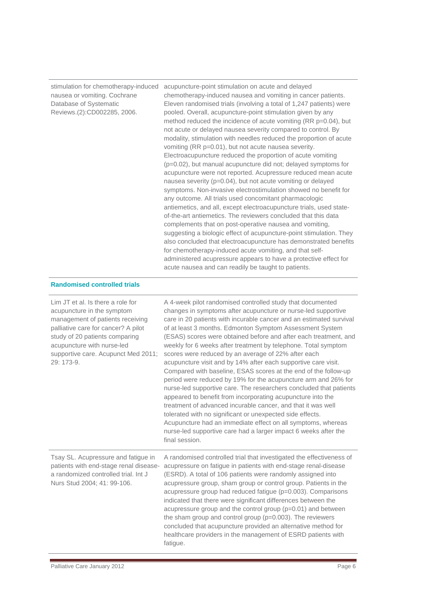nausea or vomiting. Cochrane Database of Systematic Reviews.(2):CD002285, 2006.

stimulation for chemotherapy-induced acupuncture-point stimulation on acute and delayed chemotherapy-induced nausea and vomiting in cancer patients. Eleven randomised trials (involving a total of 1,247 patients) were pooled. Overall, acupuncture-point stimulation given by any method reduced the incidence of acute vomiting (RR p=0.04), but not acute or delayed nausea severity compared to control. By modality, stimulation with needles reduced the proportion of acute vomiting (RR p=0.01), but not acute nausea severity. Electroacupuncture reduced the proportion of acute vomiting (p=0.02), but manual acupuncture did not; delayed symptoms for acupuncture were not reported. Acupressure reduced mean acute nausea severity (p=0.04), but not acute vomiting or delayed symptoms. Non-invasive electrostimulation showed no benefit for any outcome. All trials used concomitant pharmacologic antiemetics, and all, except electroacupuncture trials, used stateof-the-art antiemetics. The reviewers concluded that this data complements that on post-operative nausea and vomiting, suggesting a biologic effect of acupuncture-point stimulation. They also concluded that electroacupuncture has demonstrated benefits for chemotherapy-induced acute vomiting, and that selfadministered acupressure appears to have a protective effect for acute nausea and can readily be taught to patients.

#### **Randomised controlled trials**

| Lim JT et al. Is there a role for<br>acupuncture in the symptom<br>management of patients receiving<br>palliative care for cancer? A pilot<br>study of 20 patients comparing<br>acupuncture with nurse-led<br>supportive care. Acupunct Med 2011;<br>29: 173-9. | A 4-week pilot randomised controlled study that documented<br>changes in symptoms after acupuncture or nurse-led supportive<br>care in 20 patients with incurable cancer and an estimated survival<br>of at least 3 months. Edmonton Symptom Assessment System<br>(ESAS) scores were obtained before and after each treatment, and<br>weekly for 6 weeks after treatment by telephone. Total symptom<br>scores were reduced by an average of 22% after each<br>acupuncture visit and by 14% after each supportive care visit.<br>Compared with baseline, ESAS scores at the end of the follow-up<br>period were reduced by 19% for the acupuncture arm and 26% for<br>nurse-led supportive care. The researchers concluded that patients<br>appeared to benefit from incorporating acupuncture into the<br>treatment of advanced incurable cancer, and that it was well<br>tolerated with no significant or unexpected side effects.<br>Acupuncture had an immediate effect on all symptoms, whereas<br>nurse-led supportive care had a larger impact 6 weeks after the<br>final session. |
|-----------------------------------------------------------------------------------------------------------------------------------------------------------------------------------------------------------------------------------------------------------------|-------------------------------------------------------------------------------------------------------------------------------------------------------------------------------------------------------------------------------------------------------------------------------------------------------------------------------------------------------------------------------------------------------------------------------------------------------------------------------------------------------------------------------------------------------------------------------------------------------------------------------------------------------------------------------------------------------------------------------------------------------------------------------------------------------------------------------------------------------------------------------------------------------------------------------------------------------------------------------------------------------------------------------------------------------------------------------------------|
| Tsay SL. Acupressure and fatigue in<br>patients with end-stage renal disease-<br>a randomized controlled trial. Int J<br>Nurs Stud 2004; 41: 99-106.                                                                                                            | A randomised controlled trial that investigated the effectiveness of<br>acupressure on fatigue in patients with end-stage renal-disease<br>(ESRD). A total of 106 patients were randomly assigned into<br>acupressure group, sham group or control group. Patients in the<br>acupressure group had reduced fatigue (p=0.003). Comparisons<br>indicated that there were significant differences between the<br>acupressure group and the control group (p=0.01) and between<br>the sham group and control group ( $p=0.003$ ). The reviewers<br>concluded that acupuncture provided an alternative method for<br>healthcare providers in the management of ESRD patients with<br>fatigue.                                                                                                                                                                                                                                                                                                                                                                                                  |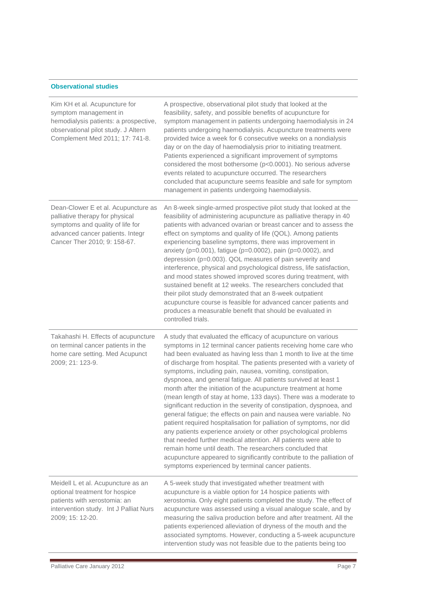#### **Observational studies**

| Kim KH et al. Acupuncture for<br>symptom management in<br>hemodialysis patients: a prospective,<br>observational pilot study. J Altern<br>Complement Med 2011; 17: 741-8.      | A prospective, observational pilot study that looked at the<br>feasibility, safety, and possible benefits of acupuncture for<br>symptom management in patients undergoing haemodialysis in 24<br>patients undergoing haemodialysis. Acupuncture treatments were<br>provided twice a week for 6 consecutive weeks on a nondialysis<br>day or on the day of haemodialysis prior to initiating treatment.<br>Patients experienced a significant improvement of symptoms<br>considered the most bothersome (p<0.0001). No serious adverse<br>events related to acupuncture occurred. The researchers<br>concluded that acupuncture seems feasible and safe for symptom<br>management in patients undergoing haemodialysis.                                                                                                                                                                                                                                                                                                                                                                                     |
|--------------------------------------------------------------------------------------------------------------------------------------------------------------------------------|------------------------------------------------------------------------------------------------------------------------------------------------------------------------------------------------------------------------------------------------------------------------------------------------------------------------------------------------------------------------------------------------------------------------------------------------------------------------------------------------------------------------------------------------------------------------------------------------------------------------------------------------------------------------------------------------------------------------------------------------------------------------------------------------------------------------------------------------------------------------------------------------------------------------------------------------------------------------------------------------------------------------------------------------------------------------------------------------------------|
| Dean-Clower E et al. Acupuncture as<br>palliative therapy for physical<br>symptoms and quality of life for<br>advanced cancer patients. Integr<br>Cancer Ther 2010; 9: 158-67. | An 8-week single-armed prospective pilot study that looked at the<br>feasibility of administering acupuncture as palliative therapy in 40<br>patients with advanced ovarian or breast cancer and to assess the<br>effect on symptoms and quality of life (QOL). Among patients<br>experiencing baseline symptoms, there was improvement in<br>anxiety (p=0.001), fatigue (p=0.0002), pain (p=0.0002), and<br>depression (p=0.003). QOL measures of pain severity and<br>interference, physical and psychological distress, life satisfaction,<br>and mood states showed improved scores during treatment, with<br>sustained benefit at 12 weeks. The researchers concluded that<br>their pilot study demonstrated that an 8-week outpatient<br>acupuncture course is feasible for advanced cancer patients and<br>produces a measurable benefit that should be evaluated in<br>controlled trials.                                                                                                                                                                                                          |
| Takahashi H. Effects of acupuncture<br>on terminal cancer patients in the<br>home care setting. Med Acupunct<br>2009; 21: 123-9.                                               | A study that evaluated the efficacy of acupuncture on various<br>symptoms in 12 terminal cancer patients receiving home care who<br>had been evaluated as having less than 1 month to live at the time<br>of discharge from hospital. The patients presented with a variety of<br>symptoms, including pain, nausea, vomiting, constipation,<br>dyspnoea, and general fatigue. All patients survived at least 1<br>month after the initiation of the acupuncture treatment at home<br>(mean length of stay at home, 133 days). There was a moderate to<br>significant reduction in the severity of constipation, dyspnoea, and<br>general fatigue; the effects on pain and nausea were variable. No<br>patient required hospitalisation for palliation of symptoms, nor did<br>any patients experience anxiety or other psychological problems<br>that needed further medical attention. All patients were able to<br>remain home until death. The researchers concluded that<br>acupuncture appeared to significantly contribute to the palliation of<br>symptoms experienced by terminal cancer patients. |
| Meidell L et al. Acupuncture as an<br>optional treatment for hospice<br>patients with xerostomia: an<br>intervention study. Int J Palliat Nurs<br>2009; 15: 12-20.             | A 5-week study that investigated whether treatment with<br>acupuncture is a viable option for 14 hospice patients with<br>xerostomia. Only eight patients completed the study. The effect of<br>acupuncture was assessed using a visual analogue scale, and by<br>measuring the saliva production before and after treatment. All the<br>patients experienced alleviation of dryness of the mouth and the<br>associated symptoms. However, conducting a 5-week acupuncture<br>intervention study was not feasible due to the patients being too                                                                                                                                                                                                                                                                                                                                                                                                                                                                                                                                                            |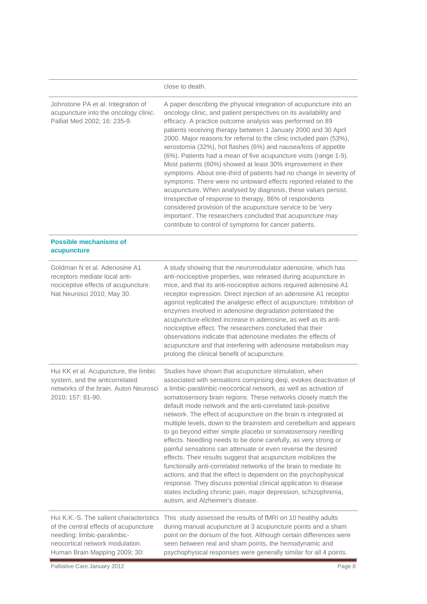|                                                                                                                                                                                      | close to death.                                                                                                                                                                                                                                                                                                                                                                                                                                                                                                                                                                                                                                                                                                                                                                                                                                                                                                                                                                                                                                                 |
|--------------------------------------------------------------------------------------------------------------------------------------------------------------------------------------|-----------------------------------------------------------------------------------------------------------------------------------------------------------------------------------------------------------------------------------------------------------------------------------------------------------------------------------------------------------------------------------------------------------------------------------------------------------------------------------------------------------------------------------------------------------------------------------------------------------------------------------------------------------------------------------------------------------------------------------------------------------------------------------------------------------------------------------------------------------------------------------------------------------------------------------------------------------------------------------------------------------------------------------------------------------------|
| Johnstone PA et al. Integration of<br>acupuncture into the oncology clinic.<br>Palliat Med 2002; 16: 235-9.                                                                          | A paper describing the physical integration of acupuncture into an<br>oncology clinic, and patient perspectives on its availability and<br>efficacy. A practice outcome analysis was performed on 89<br>patients receiving therapy between 1 January 2000 and 30 April<br>2000. Major reasons for referral to the clinic included pain (53%),<br>xerostomia (32%), hot flashes (6%) and nausea/loss of appetite<br>(6%). Patients had a mean of five acupuncture visits (range 1-9).<br>Most patients (60%) showed at least 30% improvement in their<br>symptoms. About one-third of patients had no change in severity of<br>symptoms. There were no untoward effects reported related to the<br>acupuncture. When analysed by diagnosis, these values persist.<br>Irrespective of response to therapy, 86% of respondents<br>considered provision of the acupuncture service to be 'very<br>important'. The researchers concluded that acupuncture may<br>contribute to control of symptoms for cancer patients.                                              |
| <b>Possible mechanisms of</b><br>acupuncture                                                                                                                                         |                                                                                                                                                                                                                                                                                                                                                                                                                                                                                                                                                                                                                                                                                                                                                                                                                                                                                                                                                                                                                                                                 |
| Goldman N et al. Adenosine A1<br>receptors mediate local anti-<br>nociceptive effects of acupuncture.<br>Nat Neurosci 2010; May 30.                                                  | A study showing that the neuromodulator adenosine, which has<br>anti-nociceptive properties, was released during acupuncture in<br>mice, and that its anti-nociceptive actions required adenosine A1<br>receptor expression. Direct injection of an adenosine A1 receptor<br>agonist replicated the analgesic effect of acupuncture. Inhibition of<br>enzymes involved in adenosine degradation potentiated the<br>acupuncture-elicited increase in adenosine, as well as its anti-<br>nociceptive effect. The researchers concluded that their<br>observations indicate that adenosine mediates the effects of<br>acupuncture and that interfering with adenosine metabolism may<br>prolong the clinical benefit of acupuncture.                                                                                                                                                                                                                                                                                                                               |
| Hui KK et al. Acupuncture, the limbic<br>system, and the anticorrelated<br>networks of the brain. Auton Neurosci<br>2010; 157: 81-90.                                                | Studies have shown that acupuncture stimulation, when<br>associated with sensations comprising deqi, evokes deactivation of<br>a limbic-paralimbic-neocortical network, as well as activation of<br>somatosensory brain regions. These networks closely match the<br>default mode network and the anti-correlated task-positive<br>network. The effect of acupuncture on the brain is integrated at<br>multiple levels, down to the brainstem and cerebellum and appears<br>to go beyond either simple placebo or somatosensory needling<br>effects. Needling needs to be done carefully, as very strong or<br>painful sensations can attenuate or even reverse the desired<br>effects. Their results suggest that acupuncture mobilizes the<br>functionally anti-correlated networks of the brain to mediate its<br>actions, and that the effect is dependent on the psychophysical<br>response. They discuss potential clinical application to disease<br>states including chronic pain, major depression, schizophrenia,<br>autism, and Alzheimer's disease. |
| Hui K.K.-S. The salient characteristics<br>of the central effects of acupuncture<br>needling: limbic-paralimbic-<br>neocortical network modulation.<br>Human Brain Mapping 2009; 30: | This study assessed the results of fMRI on 10 healthy adults<br>during manual acupuncture at 3 acupuncture points and a sham<br>point on the dorsum of the foot. Although certain differences were<br>seen between real and sham points, the hemodynamic and<br>psychophysical responses were generally similar for all 4 points.                                                                                                                                                                                                                                                                                                                                                                                                                                                                                                                                                                                                                                                                                                                               |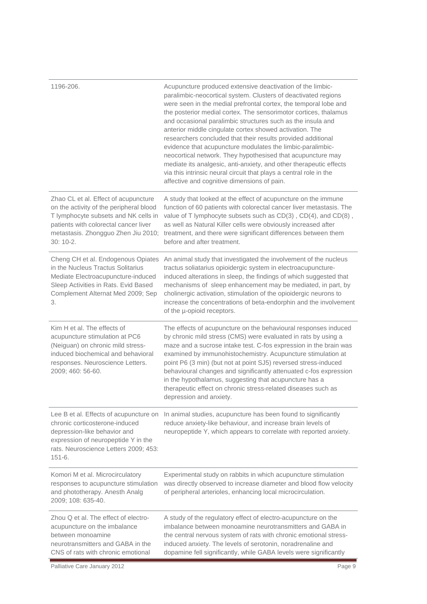| 1196-206.                                                                                                                                                                                                             | Acupuncture produced extensive deactivation of the limbic-<br>paralimbic-neocortical system. Clusters of deactivated regions<br>were seen in the medial prefrontal cortex, the temporal lobe and<br>the posterior medial cortex. The sensorimotor cortices, thalamus<br>and occasional paralimbic structures such as the insula and<br>anterior middle cingulate cortex showed activation. The<br>researchers concluded that their results provided additional<br>evidence that acupuncture modulates the limbic-paralimbic-<br>neocortical network. They hypothesised that acupuncture may<br>mediate its analgesic, anti-anxiety, and other therapeutic effects<br>via this intrinsic neural circuit that plays a central role in the<br>affective and cognitive dimensions of pain. |
|-----------------------------------------------------------------------------------------------------------------------------------------------------------------------------------------------------------------------|----------------------------------------------------------------------------------------------------------------------------------------------------------------------------------------------------------------------------------------------------------------------------------------------------------------------------------------------------------------------------------------------------------------------------------------------------------------------------------------------------------------------------------------------------------------------------------------------------------------------------------------------------------------------------------------------------------------------------------------------------------------------------------------|
| Zhao CL et al. Effect of acupuncture<br>on the activity of the peripheral blood<br>T lymphocyte subsets and NK cells in<br>patients with colorectal cancer liver<br>metastasis. Zhongguo Zhen Jiu 2010;<br>$30:10-2.$ | A study that looked at the effect of acupuncture on the immune<br>function of 60 patients with colorectal cancer liver metastasis. The<br>value of T lymphocyte subsets such as CD(3), CD(4), and CD(8),<br>as well as Natural Killer cells were obviously increased after<br>treatment, and there were significant differences between them<br>before and after treatment.                                                                                                                                                                                                                                                                                                                                                                                                            |
| Cheng CH et al. Endogenous Opiates<br>in the Nucleus Tractus Solitarius<br>Mediate Electroacupuncture-induced<br>Sleep Activities in Rats. Evid Based<br>Complement Alternat Med 2009; Sep<br>3.                      | An animal study that investigated the involvement of the nucleus<br>tractus soliatarius opioidergic system in electroacupuncture-<br>induced alterations in sleep, the findings of which suggested that<br>mechanisms of sleep enhancement may be mediated, in part, by<br>cholinergic activation, stimulation of the opioidergic neurons to<br>increase the concentrations of beta-endorphin and the involvement<br>of the µ-opioid receptors.                                                                                                                                                                                                                                                                                                                                        |
| Kim H et al. The effects of<br>acupuncture stimulation at PC6<br>(Neiguan) on chronic mild stress-<br>induced biochemical and behavioral<br>responses. Neuroscience Letters.<br>2009; 460: 56-60.                     | The effects of acupuncture on the behavioural responses induced<br>by chronic mild stress (CMS) were evaluated in rats by using a<br>maze and a sucrose intake test. C-fos expression in the brain was<br>examined by immunohistochemistry. Acupuncture stimulation at<br>point P6 (3 min) (but not at point SJ5) reversed stress-induced<br>behavioural changes and significantly attenuated c-fos expression<br>in the hypothalamus, suggesting that acupuncture has a<br>therapeutic effect on chronic stress-related diseases such as<br>depression and anxiety.                                                                                                                                                                                                                   |
| Lee B et al. Effects of acupuncture on<br>chronic corticosterone-induced<br>depression-like behavior and<br>expression of neuropeptide Y in the<br>rats. Neuroscience Letters 2009; 453:<br>$151 - 6.$                | In animal studies, acupuncture has been found to significantly<br>reduce anxiety-like behaviour, and increase brain levels of<br>neuropeptide Y, which appears to correlate with reported anxiety.                                                                                                                                                                                                                                                                                                                                                                                                                                                                                                                                                                                     |
| Komori M et al. Microcirculatory<br>responses to acupuncture stimulation<br>and phototherapy. Anesth Analg<br>2009; 108: 635-40.                                                                                      | Experimental study on rabbits in which acupuncture stimulation<br>was directly observed to increase diameter and blood flow velocity<br>of peripheral arterioles, enhancing local microcirculation.                                                                                                                                                                                                                                                                                                                                                                                                                                                                                                                                                                                    |
| Zhou Q et al. The effect of electro-<br>acupuncture on the imbalance<br>between monoamine<br>neurotransmitters and GABA in the<br>CNS of rats with chronic emotional                                                  | A study of the regulatory effect of electro-acupuncture on the<br>imbalance between monoamine neurotransmitters and GABA in<br>the central nervous system of rats with chronic emotional stress-<br>induced anxiety. The levels of serotonin, noradrenaline and<br>dopamine fell significantly, while GABA levels were significantly                                                                                                                                                                                                                                                                                                                                                                                                                                                   |
| Palliative Care January 2012                                                                                                                                                                                          | Page 9                                                                                                                                                                                                                                                                                                                                                                                                                                                                                                                                                                                                                                                                                                                                                                                 |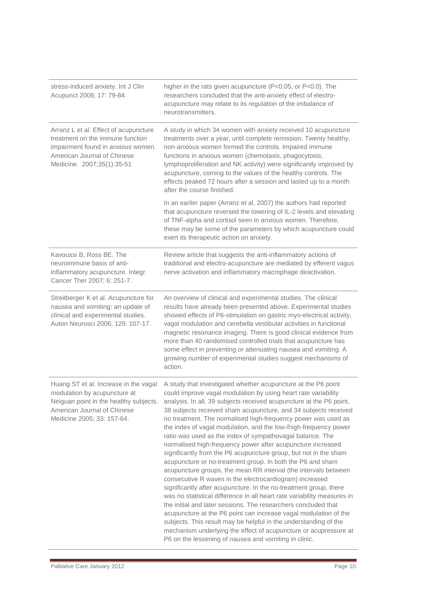| stress-induced anxiety. Int J Clin<br>Acupunct 2008; 17: 79-84.                                                                                                              | higher in the rats given acupuncture (P<0.05, or P<0.0). The<br>researchers concluded that the anti-anxiety effect of electro-<br>acupuncture may relate to its regulation of the imbalance of<br>neurotransmitters.                                                                                                                                                                                                                                                                                                                                                                                                                                                                                                                                                                                                                                                                                                                                                                                                                                                                                                                                                                                                                                                                              |
|------------------------------------------------------------------------------------------------------------------------------------------------------------------------------|---------------------------------------------------------------------------------------------------------------------------------------------------------------------------------------------------------------------------------------------------------------------------------------------------------------------------------------------------------------------------------------------------------------------------------------------------------------------------------------------------------------------------------------------------------------------------------------------------------------------------------------------------------------------------------------------------------------------------------------------------------------------------------------------------------------------------------------------------------------------------------------------------------------------------------------------------------------------------------------------------------------------------------------------------------------------------------------------------------------------------------------------------------------------------------------------------------------------------------------------------------------------------------------------------|
| Arranz L et al. Effect of acupuncture<br>treatment on the immune function<br>impairment found in anxious women.<br>American Journal of Chinese<br>Medicine. 2007;35(1):35-51 | A study in which 34 women with anxiety received 10 acupuncture<br>treatments over a year, until complete remission. Twenty healthy,<br>non-anxious women formed the controls. Impaired immune<br>functions in anxious women (chemotaxis, phagocytosis,<br>lymphoproliferation and NK activity) were significantly improved by<br>acupuncture, coming to the values of the healthy controls. The<br>effects peaked 72 hours after a session and lasted up to a month<br>after the course finished.                                                                                                                                                                                                                                                                                                                                                                                                                                                                                                                                                                                                                                                                                                                                                                                                 |
|                                                                                                                                                                              | In an earlier paper (Arranz et al, 2007) the authors had reported<br>that acupuncture reversed the lowering of IL-2 levels and elevating<br>of TNF-alpha and cortisol seen in anxious women. Therefore,<br>these may be some of the parameters by which acupuncture could<br>exert its therapeutic action on anxiety.                                                                                                                                                                                                                                                                                                                                                                                                                                                                                                                                                                                                                                                                                                                                                                                                                                                                                                                                                                             |
| Kavoussi B, Ross BE. The<br>neuroimmune basis of anti-<br>inflammatory acupuncture. Integr<br>Cancer Ther 2007; 6: 251-7.                                                    | Review article that suggests the anti-inflammatory actions of<br>traditional and electro-acupuncture are mediated by efferent vagus<br>nerve activation and inflammatory macrophage deactivation.                                                                                                                                                                                                                                                                                                                                                                                                                                                                                                                                                                                                                                                                                                                                                                                                                                                                                                                                                                                                                                                                                                 |
| Streitberger K et al. Acupuncture for<br>nausea and vomiting: an update of<br>clinical and experimental studies.<br>Auton Neurosci 2006; 129: 107-17.                        | An overview of clinical and experimental studies. The clinical<br>results have already been presented above. Experimental studies<br>showed effects of P6-stimulation on gastric myo-electrical activity,<br>vagal modulation and cerebella vestibular activities in functional<br>magnetic resonance imaging. There is good clinical evidence from<br>more than 40 randomised controlled trials that acupuncture has<br>some effect in preventing or attenuating nausea and vomiting. A<br>growing number of experimental studies suggest mechanisms of<br>action.                                                                                                                                                                                                                                                                                                                                                                                                                                                                                                                                                                                                                                                                                                                               |
| Huang ST et al. Increase in the vagal<br>modulation by acupuncture at<br>Neiguan point in the healthy subjects.<br>American Journal of Chinese<br>Medicine 2005; 33: 157-64. | A study that investigated whether acupuncture at the P6 point<br>could improve vagal modulation by using heart rate variability<br>analysis. In all, 39 subjects received acupuncture at the P6 point,<br>38 subjects received sham acupuncture, and 34 subjects received<br>no treatment. The normalised high-frequency power was used as<br>the index of vagal modulation, and the low-/high-frequency power<br>ratio was used as the index of sympathovagal balance. The<br>normalised high-frequency power after acupuncture increased<br>significantly from the P6 acupuncture group, but not in the sham<br>acupuncture or no-treatment group. In both the P6 and sham<br>acupuncture groups, the mean RR interval (the intervals between<br>consecutive R waves in the electrocardiogram) increased<br>significantly after acupuncture. In the no-treatment group, there<br>was no statistical difference in all heart rate variability measures in<br>the initial and later sessions. The researchers concluded that<br>acupuncture at the P6 point can increase vagal modulation of the<br>subjects. This result may be helpful in the understanding of the<br>mechanism underlying the effect of acupuncture or acupressure at<br>P6 on the lessening of nausea and vomiting in clinic. |